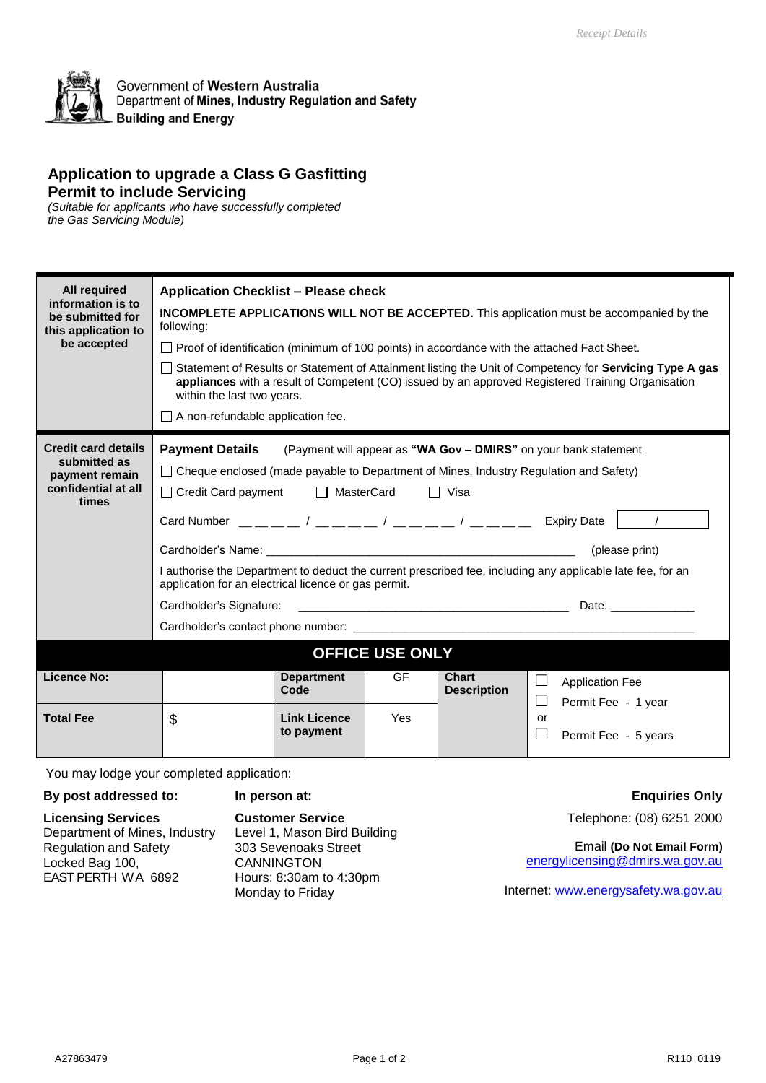

Government of Western Australia Department of Mines, Industry Regulation and Safety **Building and Energy** 

### **Application to upgrade a Class G Gasfitting Permit to include Servicing**

*(Suitable for applicants who have successfully completed the Gas Servicing Module)*

| <b>All required</b><br>information is to<br>be submitted for<br>this application to<br>be accepted | <b>Application Checklist - Please check</b><br><b>INCOMPLETE APPLICATIONS WILL NOT BE ACCEPTED.</b> This application must be accompanied by the<br>following:<br>□ Proof of identification (minimum of 100 points) in accordance with the attached Fact Sheet.<br>$\Box$ Statement of Results or Statement of Attainment listing the Unit of Competency for Servicing Type A gas<br>appliances with a result of Competent (CO) issued by an approved Registered Training Organisation<br>within the last two years.<br>$\Box$ A non-refundable application fee.                                                                |                                   |           |                                    |                                                                                                                                                                                                                           |  |  |
|----------------------------------------------------------------------------------------------------|--------------------------------------------------------------------------------------------------------------------------------------------------------------------------------------------------------------------------------------------------------------------------------------------------------------------------------------------------------------------------------------------------------------------------------------------------------------------------------------------------------------------------------------------------------------------------------------------------------------------------------|-----------------------------------|-----------|------------------------------------|---------------------------------------------------------------------------------------------------------------------------------------------------------------------------------------------------------------------------|--|--|
| <b>Credit card details</b><br>submitted as<br>payment remain<br>confidential at all<br>times       | <b>Payment Details</b><br>□ Cheque enclosed (made payable to Department of Mines, Industry Regulation and Safety)<br>□ Credit Card payment □ MasterCard<br>Card Number $\frac{1}{1-\frac{1}{1-\frac{1}{1-\frac{1}{1-\frac{1}{1-\frac{1}{1-\frac{1}{1-\frac{1}{1-\frac{1}{1-\frac{1}{1-\frac{1}{1-\frac{1}{1-\frac{1}{1-\frac{1}{1-\frac{1}{1-\frac{1}{1-\frac{1}{1-\frac{1}{1-\frac{1}{1-\frac{1}{1-\frac{1}{1-\frac{1}{1-\frac{1}{1-\frac{1}{1-\frac{1}{1-\frac{1}{1-\frac{1}{1-\frac{1}{1-\frac{1}{1-\frac{1}{1-\frac{1}{1-\frac{1}{1-\frac{1}{1-\frac{1}{1-\frac{1$<br>application for an electrical licence or gas permit. |                                   |           | □ Visa                             | (Payment will appear as "WA Gov - DMIRS" on your bank statement<br>(please print)<br>I authorise the Department to deduct the current prescribed fee, including any applicable late fee, for an<br>Date: ________________ |  |  |
| <b>OFFICE USE ONLY</b>                                                                             |                                                                                                                                                                                                                                                                                                                                                                                                                                                                                                                                                                                                                                |                                   |           |                                    |                                                                                                                                                                                                                           |  |  |
| <b>Licence No:</b>                                                                                 |                                                                                                                                                                                                                                                                                                                                                                                                                                                                                                                                                                                                                                | <b>Department</b><br>Code         | <b>GF</b> | <b>Chart</b><br><b>Description</b> | <b>Application Fee</b><br>$\vert \ \ \vert$<br>Permit Fee - 1 year                                                                                                                                                        |  |  |
| <b>Total Fee</b>                                                                                   | \$                                                                                                                                                                                                                                                                                                                                                                                                                                                                                                                                                                                                                             | <b>Link Licence</b><br>to payment | Yes       |                                    | <b>or</b><br>$\Box$<br>Permit Fee - 5 years                                                                                                                                                                               |  |  |

You may lodge your completed application:

#### **By post addressed to: Licensing Services** Department of Mines, Industry Regulation and Safety Locked Bag 100, EAST PERTH WA 6892 **In person at: Customer Service** Level 1, Mason Bird Building 303 Sevenoaks Street CANNINGTON Hours: 8:30am to 4:30pm Monday to Friday

#### **Enquiries Only**

Telephone: (08) 6251 2000

Email **(Do Not Email Form)** [energylicensing@dmirs.wa.gov.au](mailto:energylicensing@dmirs.wa.gov.au)

Internet: [www.energysafety.wa.gov.au](http://www.energysafety.wa.gov.au/)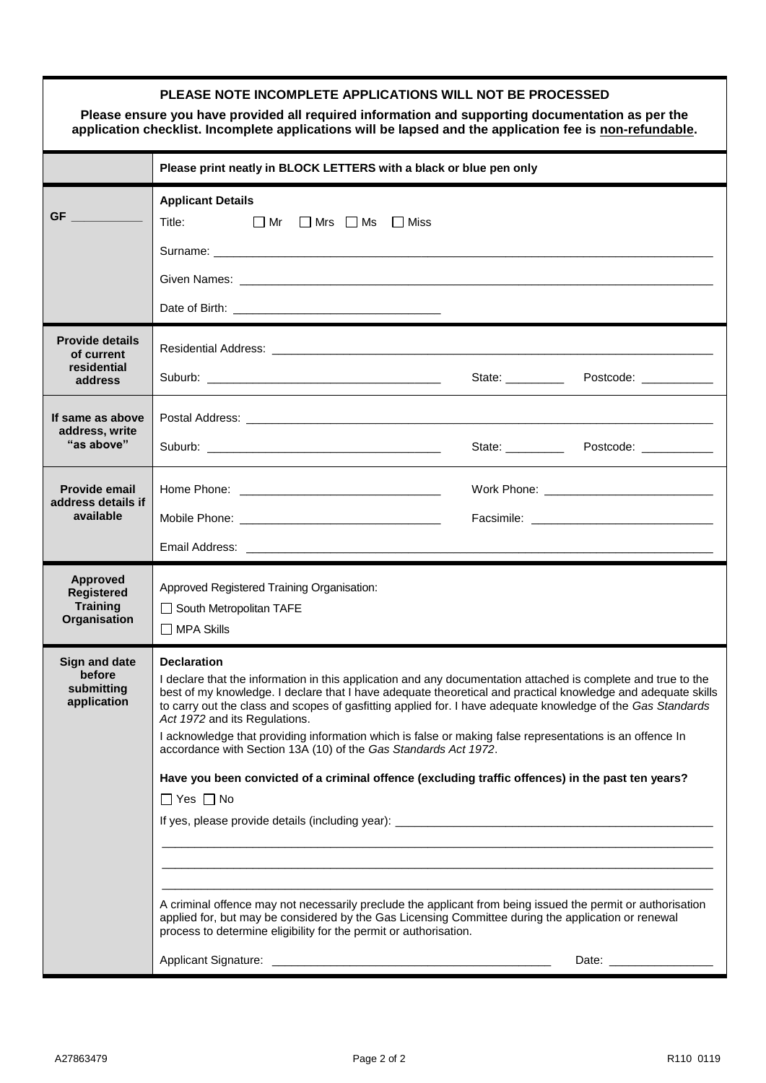| Please ensure you have provided all required information and supporting documentation as per the<br>application checklist. Incomplete applications will be lapsed and the application fee is non-refundable.                                      |                                                                                                                                                                                                                                                                                                                                                                                                                                                                                                                                                                                                                                                                                                                                                                                                                                                                                                                                                                                                                                                                                                                             |  |                                            |  |  |  |
|---------------------------------------------------------------------------------------------------------------------------------------------------------------------------------------------------------------------------------------------------|-----------------------------------------------------------------------------------------------------------------------------------------------------------------------------------------------------------------------------------------------------------------------------------------------------------------------------------------------------------------------------------------------------------------------------------------------------------------------------------------------------------------------------------------------------------------------------------------------------------------------------------------------------------------------------------------------------------------------------------------------------------------------------------------------------------------------------------------------------------------------------------------------------------------------------------------------------------------------------------------------------------------------------------------------------------------------------------------------------------------------------|--|--------------------------------------------|--|--|--|
|                                                                                                                                                                                                                                                   | Please print neatly in BLOCK LETTERS with a black or blue pen only                                                                                                                                                                                                                                                                                                                                                                                                                                                                                                                                                                                                                                                                                                                                                                                                                                                                                                                                                                                                                                                          |  |                                            |  |  |  |
| <b>GF</b><br><u>a sa mga salawang ng Pangangang ng Pangangang ng Pangangang ng Pangangang ng Pangangang ng Pangangang ng Pangangang ng Pangangang ng Pangangang ng Pangangang ng Pangangang ng Pangangang ng Pangangang ng Pangangang ng Pang</u> | <b>Applicant Details</b><br>Title: The Second Second Second Second Second Second Second Second Second Second Second Second Second Second Second Second Second Second Second Second Second Second Second Second Second Second Second Second Second Second S<br>$\Box$ Mr $\Box$ Mrs $\Box$ Ms $\Box$ Miss<br>Given Names: Contract of the Contract of the Contract of the Contract of the Contract of the Contract of the Contract of the Contract of the Contract of the Contract of the Contract of the Contract of the Contract of the C                                                                                                                                                                                                                                                                                                                                                                                                                                                                                                                                                                                  |  |                                            |  |  |  |
| <b>Provide details</b><br>of current<br>residential<br>address                                                                                                                                                                                    |                                                                                                                                                                                                                                                                                                                                                                                                                                                                                                                                                                                                                                                                                                                                                                                                                                                                                                                                                                                                                                                                                                                             |  | State: Postcode: __________                |  |  |  |
| If same as above<br>address, write<br>"as above"                                                                                                                                                                                                  |                                                                                                                                                                                                                                                                                                                                                                                                                                                                                                                                                                                                                                                                                                                                                                                                                                                                                                                                                                                                                                                                                                                             |  | State: _____________ Postcode: ___________ |  |  |  |
| <b>Provide email</b><br>address details if<br>available                                                                                                                                                                                           |                                                                                                                                                                                                                                                                                                                                                                                                                                                                                                                                                                                                                                                                                                                                                                                                                                                                                                                                                                                                                                                                                                                             |  |                                            |  |  |  |
| <b>Approved</b><br><b>Registered</b><br><b>Training</b><br>Organisation                                                                                                                                                                           | Approved Registered Training Organisation:<br>South Metropolitan TAFE<br>$\Box$ MPA Skills                                                                                                                                                                                                                                                                                                                                                                                                                                                                                                                                                                                                                                                                                                                                                                                                                                                                                                                                                                                                                                  |  |                                            |  |  |  |
| <b>Sign and date</b><br>before<br>submitting<br>application                                                                                                                                                                                       | <b>Declaration</b><br>I declare that the information in this application and any documentation attached is complete and true to the<br>best of my knowledge. I declare that I have adequate theoretical and practical knowledge and adequate skills<br>to carry out the class and scopes of gasfitting applied for. I have adequate knowledge of the Gas Standards<br>Act 1972 and its Regulations.<br>I acknowledge that providing information which is false or making false representations is an offence In<br>accordance with Section 13A (10) of the Gas Standards Act 1972.<br>Have you been convicted of a criminal offence (excluding traffic offences) in the past ten years?<br>$\Box$ Yes $\Box$ No<br>,我们也不能在这里的时候,我们也不能会在这里,我们也不能会在这里的时候,我们也不能会在这里的时候,我们也不能会在这里的时候,我们也不能会在这里的时候,我们也不能<br>A criminal offence may not necessarily preclude the applicant from being issued the permit or authorisation<br>applied for, but may be considered by the Gas Licensing Committee during the application or renewal<br>process to determine eligibility for the permit or authorisation.<br>Date: ___________________ |  |                                            |  |  |  |

**PLEASE NOTE INCOMPLETE APPLICATIONS WILL NOT BE PROCESSED**